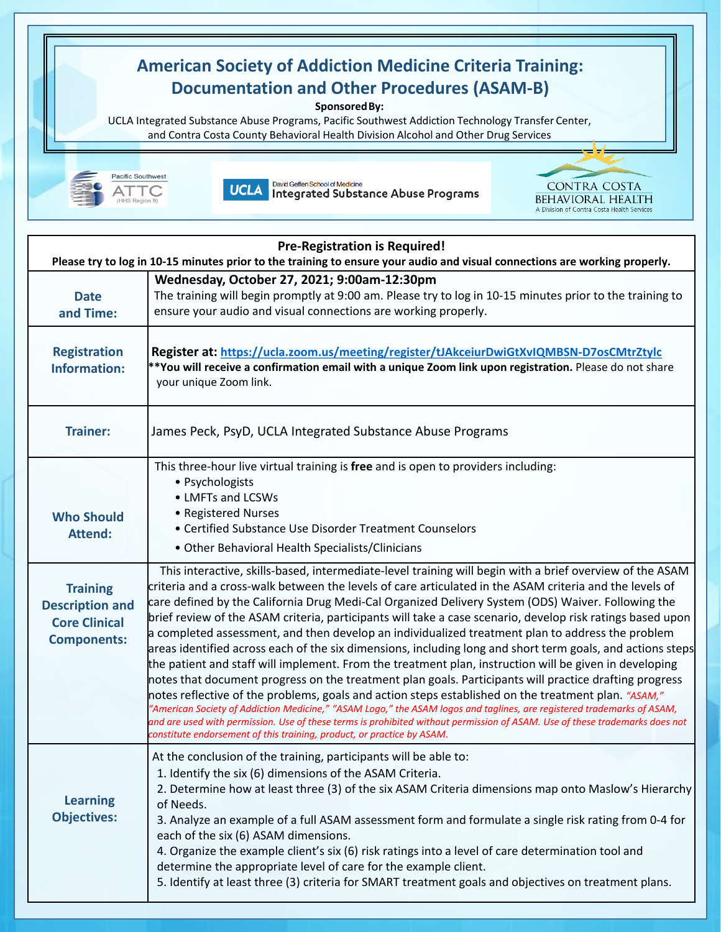

5. Identify at least three (3) criteria for SMART treatment goals and objectives on treatment plans.